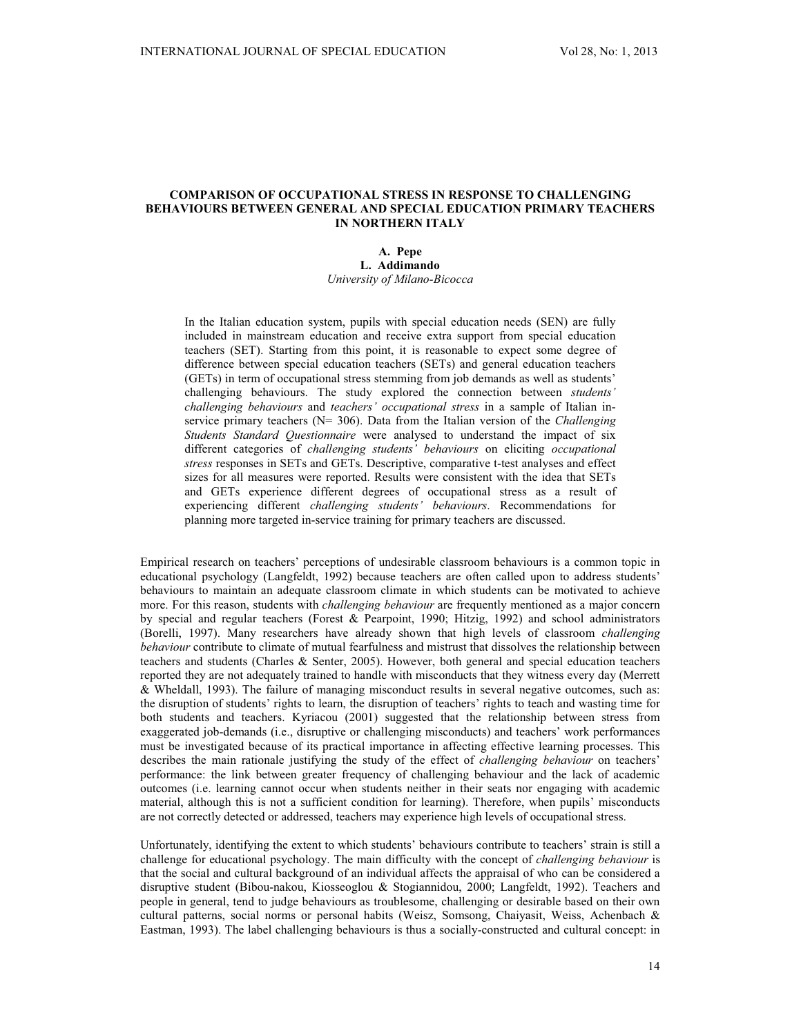# **COMPARISON OF OCCUPATIONAL STRESS IN RESPONSE TO CHALLENGING BEHAVIOURS BETWEEN GENERAL AND SPECIAL EDUCATION PRIMARY TEACHERS IN NORTHERN ITALY**

# **A. Pepe L. Addimando** *University of Milano-Bicocca*

In the Italian education system, pupils with special education needs (SEN) are fully included in mainstream education and receive extra support from special education teachers (SET). Starting from this point, it is reasonable to expect some degree of difference between special education teachers (SETs) and general education teachers (GETs) in term of occupational stress stemming from job demands as well as students' challenging behaviours. The study explored the connection between *students' challenging behaviours* and *teachers' occupational stress* in a sample of Italian inservice primary teachers (N= 306). Data from the Italian version of the *Challenging Students Standard Questionnaire* were analysed to understand the impact of six different categories of *challenging students' behaviours* on eliciting *occupational stress* responses in SETs and GETs. Descriptive, comparative t-test analyses and effect sizes for all measures were reported. Results were consistent with the idea that SETs and GETs experience different degrees of occupational stress as a result of experiencing different *challenging students' behaviours*. Recommendations for planning more targeted in-service training for primary teachers are discussed.

Empirical research on teachers' perceptions of undesirable classroom behaviours is a common topic in educational psychology (Langfeldt, 1992) because teachers are often called upon to address students' behaviours to maintain an adequate classroom climate in which students can be motivated to achieve more. For this reason, students with *challenging behaviour* are frequently mentioned as a major concern by special and regular teachers (Forest & Pearpoint, 1990; Hitzig, 1992) and school administrators (Borelli, 1997). Many researchers have already shown that high levels of classroom *challenging behaviour* contribute to climate of mutual fearfulness and mistrust that dissolves the relationship between teachers and students (Charles & Senter, 2005). However, both general and special education teachers reported they are not adequately trained to handle with misconducts that they witness every day (Merrett & Wheldall, 1993). The failure of managing misconduct results in several negative outcomes, such as: the disruption of students' rights to learn, the disruption of teachers' rights to teach and wasting time for both students and teachers. Kyriacou (2001) suggested that the relationship between stress from exaggerated job-demands (i.e., disruptive or challenging misconducts) and teachers' work performances must be investigated because of its practical importance in affecting effective learning processes. This describes the main rationale justifying the study of the effect of *challenging behaviour* on teachers' performance: the link between greater frequency of challenging behaviour and the lack of academic outcomes (i.e. learning cannot occur when students neither in their seats nor engaging with academic material, although this is not a sufficient condition for learning). Therefore, when pupils' misconducts are not correctly detected or addressed, teachers may experience high levels of occupational stress.

Unfortunately, identifying the extent to which students' behaviours contribute to teachers' strain is still a challenge for educational psychology. The main difficulty with the concept of *challenging behaviour* is that the social and cultural background of an individual affects the appraisal of who can be considered a disruptive student (Bibou-nakou, Kiosseoglou & Stogiannidou, 2000; Langfeldt, 1992). Teachers and people in general, tend to judge behaviours as troublesome, challenging or desirable based on their own cultural patterns, social norms or personal habits (Weisz, Somsong, Chaiyasit, Weiss, Achenbach & Eastman, 1993). The label challenging behaviours is thus a socially-constructed and cultural concept: in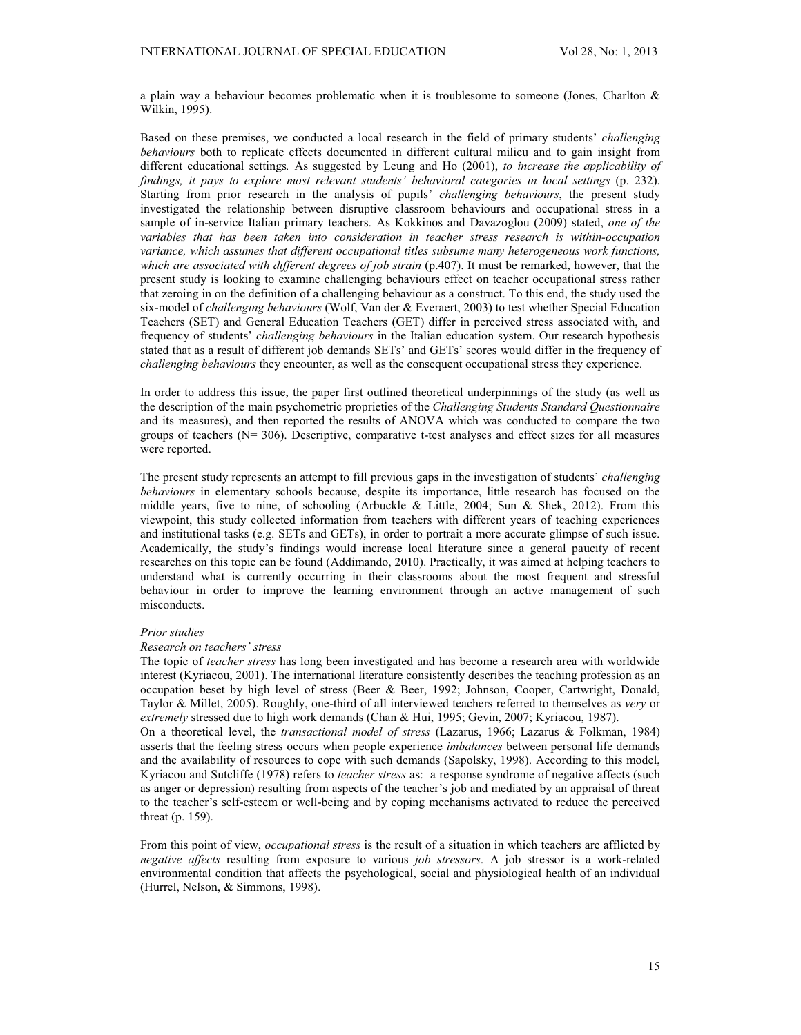a plain way a behaviour becomes problematic when it is troublesome to someone (Jones, Charlton & Wilkin, 1995).

Based on these premises, we conducted a local research in the field of primary students' *challenging behaviours* both to replicate effects documented in different cultural milieu and to gain insight from different educational settings*.* As suggested by Leung and Ho (2001), *to increase the applicability of findings, it pays to explore most relevant students' behavioral categories in local settings* (p. 232). Starting from prior research in the analysis of pupils' *challenging behaviours*, the present study investigated the relationship between disruptive classroom behaviours and occupational stress in a sample of in-service Italian primary teachers. As Kokkinos and Davazoglou (2009) stated, *one of the variables that has been taken into consideration in teacher stress research is within-occupation variance, which assumes that different occupational titles subsume many heterogeneous work functions, which are associated with different degrees of job strain* (p.407). It must be remarked, however, that the present study is looking to examine challenging behaviours effect on teacher occupational stress rather that zeroing in on the definition of a challenging behaviour as a construct. To this end, the study used the six-model of *challenging behaviours* (Wolf, Van der & Everaert, 2003) to test whether Special Education Teachers (SET) and General Education Teachers (GET) differ in perceived stress associated with, and frequency of students' *challenging behaviours* in the Italian education system. Our research hypothesis stated that as a result of different job demands SETs' and GETs' scores would differ in the frequency of *challenging behaviours* they encounter, as well as the consequent occupational stress they experience.

In order to address this issue, the paper first outlined theoretical underpinnings of the study (as well as the description of the main psychometric proprieties of the *Challenging Students Standard Questionnaire* and its measures), and then reported the results of ANOVA which was conducted to compare the two groups of teachers (N= 306). Descriptive, comparative t-test analyses and effect sizes for all measures were reported.

The present study represents an attempt to fill previous gaps in the investigation of students' *challenging behaviours* in elementary schools because, despite its importance, little research has focused on the middle years, five to nine, of schooling (Arbuckle & Little, 2004; Sun & Shek, 2012). From this viewpoint, this study collected information from teachers with different years of teaching experiences and institutional tasks (e.g. SETs and GETs), in order to portrait a more accurate glimpse of such issue. Academically, the study's findings would increase local literature since a general paucity of recent researches on this topic can be found (Addimando, 2010). Practically, it was aimed at helping teachers to understand what is currently occurring in their classrooms about the most frequent and stressful behaviour in order to improve the learning environment through an active management of such misconducts.

### *Prior studies*

#### *Research on teachers' stress*

The topic of *teacher stress* has long been investigated and has become a research area with worldwide interest (Kyriacou, 2001). The international literature consistently describes the teaching profession as an occupation beset by high level of stress (Beer & Beer, 1992; Johnson, Cooper, Cartwright, Donald, Taylor & Millet, 2005). Roughly, one-third of all interviewed teachers referred to themselves as *very* or *extremely* stressed due to high work demands (Chan & Hui, 1995; Gevin, 2007; Kyriacou, 1987).

On a theoretical level, the *transactional model of stress* (Lazarus, 1966; Lazarus & Folkman, 1984) asserts that the feeling stress occurs when people experience *imbalances* between personal life demands and the availability of resources to cope with such demands (Sapolsky, 1998). According to this model, Kyriacou and Sutcliffe (1978) refers to *teacher stress* as: a response syndrome of negative affects (such as anger or depression) resulting from aspects of the teacher's job and mediated by an appraisal of threat to the teacher's self-esteem or well-being and by coping mechanisms activated to reduce the perceived threat (p. 159).

From this point of view, *occupational stress* is the result of a situation in which teachers are afflicted by *negative affects* resulting from exposure to various *job stressors*. A job stressor is a work-related environmental condition that affects the psychological, social and physiological health of an individual (Hurrel, Nelson, & Simmons, 1998).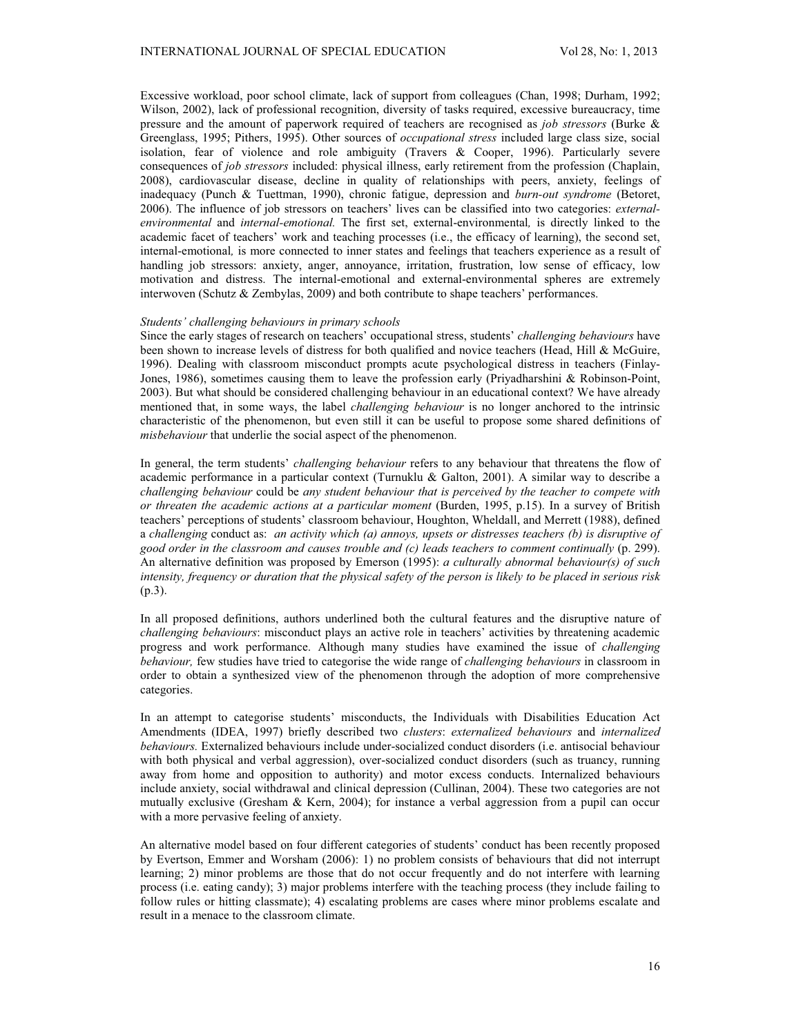Excessive workload, poor school climate, lack of support from colleagues (Chan, 1998; Durham, 1992; Wilson, 2002), lack of professional recognition, diversity of tasks required, excessive bureaucracy, time pressure and the amount of paperwork required of teachers are recognised as *job stressors* (Burke & Greenglass, 1995; Pithers, 1995). Other sources of *occupational stress* included large class size, social isolation, fear of violence and role ambiguity (Travers & Cooper, 1996). Particularly severe consequences of *job stressors* included: physical illness, early retirement from the profession (Chaplain, 2008), cardiovascular disease, decline in quality of relationships with peers, anxiety, feelings of inadequacy (Punch & Tuettman, 1990), chronic fatigue, depression and *burn-out syndrome* (Betoret, 2006). The influence of job stressors on teachers' lives can be classified into two categories: *externalenvironmental* and *internal-emotional.* The first set, external-environmental*,* is directly linked to the academic facet of teachers' work and teaching processes (i.e., the efficacy of learning), the second set, internal-emotional*,* is more connected to inner states and feelings that teachers experience as a result of handling job stressors: anxiety, anger, annoyance, irritation, frustration, low sense of efficacy, low motivation and distress. The internal-emotional and external-environmental spheres are extremely interwoven (Schutz & Zembylas, 2009) and both contribute to shape teachers' performances.

# *Students' challenging behaviours in primary schools*

Since the early stages of research on teachers' occupational stress, students' *challenging behaviours* have been shown to increase levels of distress for both qualified and novice teachers (Head, Hill & McGuire, 1996). Dealing with classroom misconduct prompts acute psychological distress in teachers (Finlay-Jones, 1986), sometimes causing them to leave the profession early (Priyadharshini & Robinson-Point, 2003). But what should be considered challenging behaviour in an educational context? We have already mentioned that, in some ways, the label *challenging behaviour* is no longer anchored to the intrinsic characteristic of the phenomenon, but even still it can be useful to propose some shared definitions of *misbehaviour* that underlie the social aspect of the phenomenon.

In general, the term students' *challenging behaviour* refers to any behaviour that threatens the flow of academic performance in a particular context (Turnuklu & Galton, 2001). A similar way to describe a *challenging behaviour* could be *any student behaviour that is perceived by the teacher to compete with or threaten the academic actions at a particular moment* (Burden, 1995, p.15). In a survey of British teachers' perceptions of students' classroom behaviour, Houghton, Wheldall, and Merrett (1988), defined a *challenging* conduct as: *an activity which (a) annoys, upsets or distresses teachers (b) is disruptive of good order in the classroom and causes trouble and (c) leads teachers to comment continually* (p. 299). An alternative definition was proposed by Emerson (1995): *a culturally abnormal behaviour(s) of such intensity, frequency or duration that the physical safety of the person is likely to be placed in serious risk*  (p.3).

In all proposed definitions, authors underlined both the cultural features and the disruptive nature of *challenging behaviours*: misconduct plays an active role in teachers' activities by threatening academic progress and work performance. Although many studies have examined the issue of *challenging behaviour,* few studies have tried to categorise the wide range of *challenging behaviours* in classroom in order to obtain a synthesized view of the phenomenon through the adoption of more comprehensive categories.

In an attempt to categorise students' misconducts, the Individuals with Disabilities Education Act Amendments (IDEA, 1997) briefly described two *clusters*: *externalized behaviours* and *internalized behaviours.* Externalized behaviours include under-socialized conduct disorders (i.e. antisocial behaviour with both physical and verbal aggression), over-socialized conduct disorders (such as truancy, running away from home and opposition to authority) and motor excess conducts. Internalized behaviours include anxiety, social withdrawal and clinical depression (Cullinan, 2004). These two categories are not mutually exclusive (Gresham & Kern, 2004); for instance a verbal aggression from a pupil can occur with a more pervasive feeling of anxiety.

An alternative model based on four different categories of students' conduct has been recently proposed by Evertson, Emmer and Worsham (2006): 1) no problem consists of behaviours that did not interrupt learning; 2) minor problems are those that do not occur frequently and do not interfere with learning process (i.e. eating candy); 3) major problems interfere with the teaching process (they include failing to follow rules or hitting classmate); 4) escalating problems are cases where minor problems escalate and result in a menace to the classroom climate.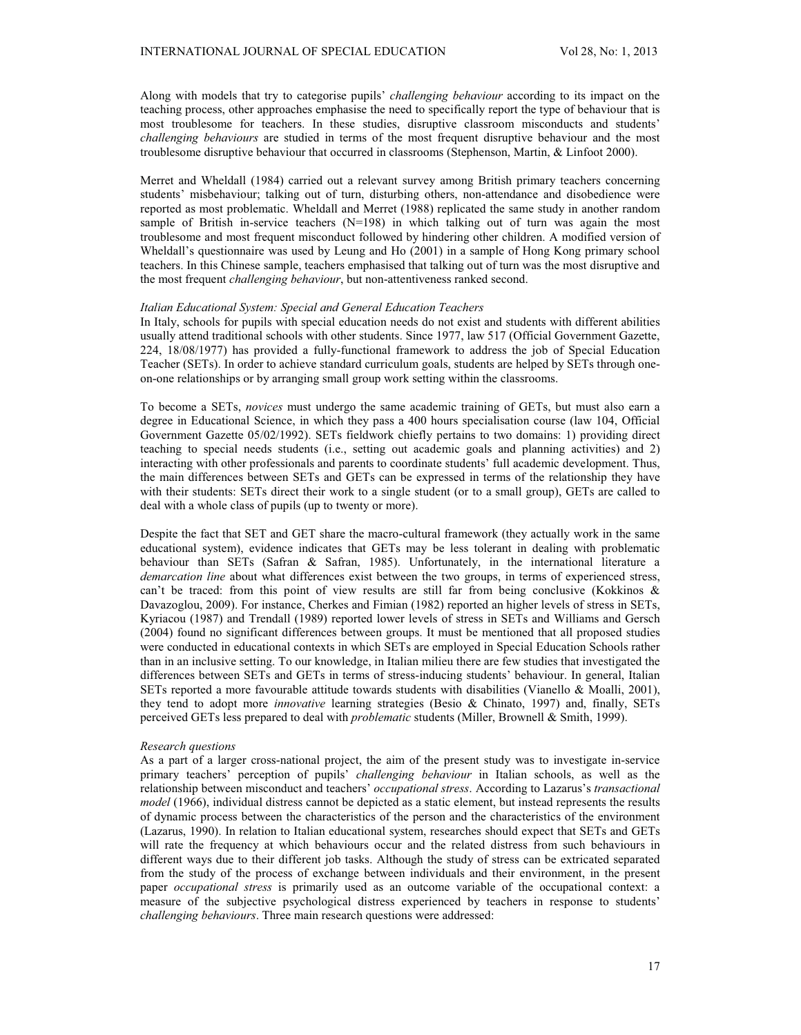Along with models that try to categorise pupils' *challenging behaviour* according to its impact on the teaching process, other approaches emphasise the need to specifically report the type of behaviour that is most troublesome for teachers. In these studies, disruptive classroom misconducts and students' *challenging behaviours* are studied in terms of the most frequent disruptive behaviour and the most troublesome disruptive behaviour that occurred in classrooms (Stephenson, Martin, & Linfoot 2000).

Merret and Wheldall (1984) carried out a relevant survey among British primary teachers concerning students' misbehaviour; talking out of turn, disturbing others, non-attendance and disobedience were reported as most problematic. Wheldall and Merret (1988) replicated the same study in another random sample of British in-service teachers (N=198) in which talking out of turn was again the most troublesome and most frequent misconduct followed by hindering other children. A modified version of Wheldall's questionnaire was used by Leung and Ho (2001) in a sample of Hong Kong primary school teachers. In this Chinese sample, teachers emphasised that talking out of turn was the most disruptive and the most frequent *challenging behaviour*, but non-attentiveness ranked second.

### *Italian Educational System: Special and General Education Teachers*

In Italy, schools for pupils with special education needs do not exist and students with different abilities usually attend traditional schools with other students. Since 1977, law 517 (Official Government Gazette, 224, 18/08/1977) has provided a fully-functional framework to address the job of Special Education Teacher (SETs). In order to achieve standard curriculum goals, students are helped by SETs through oneon-one relationships or by arranging small group work setting within the classrooms.

To become a SETs, *novices* must undergo the same academic training of GETs, but must also earn a degree in Educational Science, in which they pass a 400 hours specialisation course (law 104, Official Government Gazette 05/02/1992). SETs fieldwork chiefly pertains to two domains: 1) providing direct teaching to special needs students (i.e., setting out academic goals and planning activities) and 2) interacting with other professionals and parents to coordinate students' full academic development. Thus, the main differences between SETs and GETs can be expressed in terms of the relationship they have with their students: SETs direct their work to a single student (or to a small group), GETs are called to deal with a whole class of pupils (up to twenty or more).

Despite the fact that SET and GET share the macro-cultural framework (they actually work in the same educational system), evidence indicates that GETs may be less tolerant in dealing with problematic behaviour than SETs (Safran & Safran, 1985). Unfortunately, in the international literature a *demarcation line* about what differences exist between the two groups, in terms of experienced stress, can't be traced: from this point of view results are still far from being conclusive (Kokkinos & Davazoglou, 2009). For instance, Cherkes and Fimian (1982) reported an higher levels of stress in SETs, Kyriacou (1987) and Trendall (1989) reported lower levels of stress in SETs and Williams and Gersch (2004) found no significant differences between groups. It must be mentioned that all proposed studies were conducted in educational contexts in which SETs are employed in Special Education Schools rather than in an inclusive setting. To our knowledge, in Italian milieu there are few studies that investigated the differences between SETs and GETs in terms of stress-inducing students' behaviour. In general, Italian SETs reported a more favourable attitude towards students with disabilities (Vianello & Moalli, 2001), they tend to adopt more *innovative* learning strategies (Besio & Chinato, 1997) and, finally, SETs perceived GETs less prepared to deal with *problematic* students (Miller, Brownell & Smith, 1999).

## *Research questions*

As a part of a larger cross-national project, the aim of the present study was to investigate in-service primary teachers' perception of pupils' *challenging behaviour* in Italian schools, as well as the relationship between misconduct and teachers' *occupational stress*. According to Lazarus's *transactional model* (1966), individual distress cannot be depicted as a static element, but instead represents the results of dynamic process between the characteristics of the person and the characteristics of the environment (Lazarus, 1990). In relation to Italian educational system, researches should expect that SETs and GETs will rate the frequency at which behaviours occur and the related distress from such behaviours in different ways due to their different job tasks. Although the study of stress can be extricated separated from the study of the process of exchange between individuals and their environment, in the present paper *occupational stress* is primarily used as an outcome variable of the occupational context: a measure of the subjective psychological distress experienced by teachers in response to students' *challenging behaviours*. Three main research questions were addressed: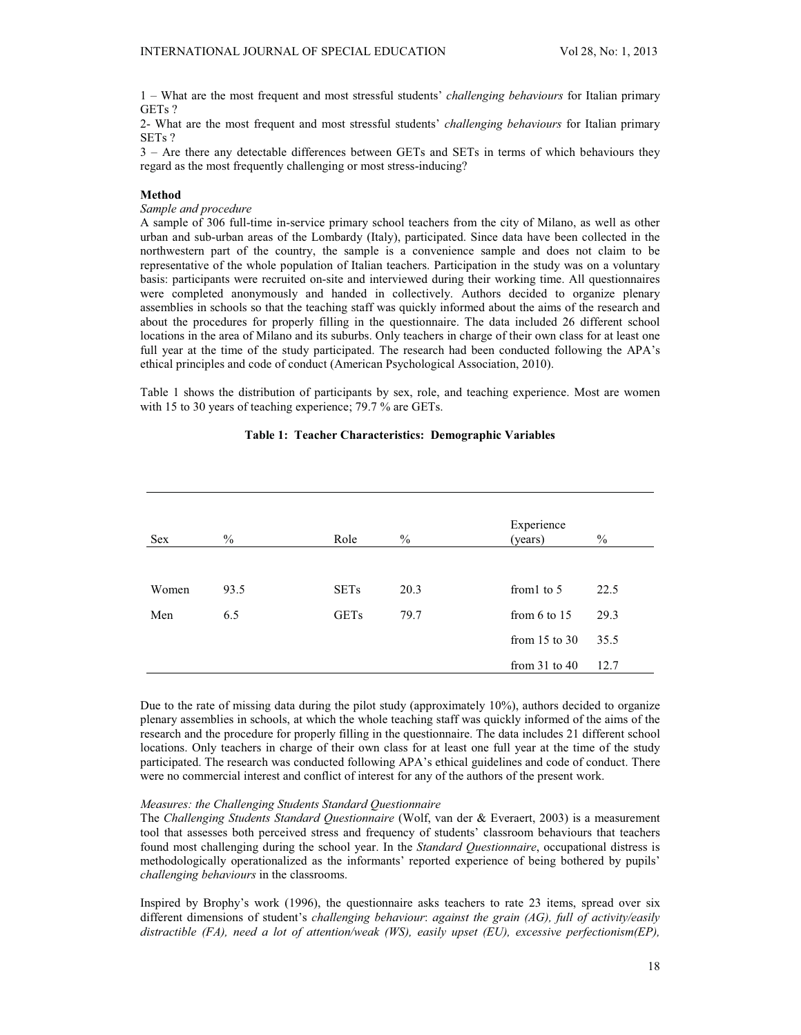1 – What are the most frequent and most stressful students' *challenging behaviours* for Italian primary GETs ?

2- What are the most frequent and most stressful students' *challenging behaviours* for Italian primary SETs ?

3 – Are there any detectable differences between GETs and SETs in terms of which behaviours they regard as the most frequently challenging or most stress-inducing?

# **Method**

*Sample and procedure*

A sample of 306 full-time in-service primary school teachers from the city of Milano, as well as other urban and sub-urban areas of the Lombardy (Italy), participated. Since data have been collected in the northwestern part of the country, the sample is a convenience sample and does not claim to be representative of the whole population of Italian teachers. Participation in the study was on a voluntary basis: participants were recruited on-site and interviewed during their working time. All questionnaires were completed anonymously and handed in collectively. Authors decided to organize plenary assemblies in schools so that the teaching staff was quickly informed about the aims of the research and about the procedures for properly filling in the questionnaire. The data included 26 different school locations in the area of Milano and its suburbs. Only teachers in charge of their own class for at least one full year at the time of the study participated. The research had been conducted following the APA's ethical principles and code of conduct (American Psychological Association, 2010).

Table 1 shows the distribution of participants by sex, role, and teaching experience. Most are women with 15 to 30 years of teaching experience; 79.7 % are GETs.

| <b>Sex</b> | $\frac{0}{0}$ | Role        | $\frac{0}{0}$ | Experience<br>(years) | $\%$ |
|------------|---------------|-------------|---------------|-----------------------|------|
| Women      | 93.5          | <b>SETs</b> | 20.3          | from to 5             | 22.5 |
| Men        | 6.5           | <b>GETs</b> | 79.7          | from $6$ to $15$      | 29.3 |
|            |               |             |               | from $15$ to $30$     | 35.5 |
|            |               |             |               | from $31$ to $40$     | 12.7 |

# **Table 1: Teacher Characteristics: Demographic Variables**

Due to the rate of missing data during the pilot study (approximately 10%), authors decided to organize plenary assemblies in schools, at which the whole teaching staff was quickly informed of the aims of the research and the procedure for properly filling in the questionnaire. The data includes 21 different school locations. Only teachers in charge of their own class for at least one full year at the time of the study participated. The research was conducted following APA's ethical guidelines and code of conduct. There were no commercial interest and conflict of interest for any of the authors of the present work.

# *Measures: the Challenging Students Standard Questionnaire*

The *Challenging Students Standard Questionnaire* (Wolf, van der & Everaert, 2003) is a measurement tool that assesses both perceived stress and frequency of students' classroom behaviours that teachers found most challenging during the school year. In the *Standard Questionnaire*, occupational distress is methodologically operationalized as the informants' reported experience of being bothered by pupils' *challenging behaviours* in the classrooms.

Inspired by Brophy's work (1996), the questionnaire asks teachers to rate 23 items, spread over six different dimensions of student's *challenging behaviour*: *against the grain (AG), full of activity/easily distractible (FA), need a lot of attention/weak (WS), easily upset (EU), excessive perfectionism(EP),*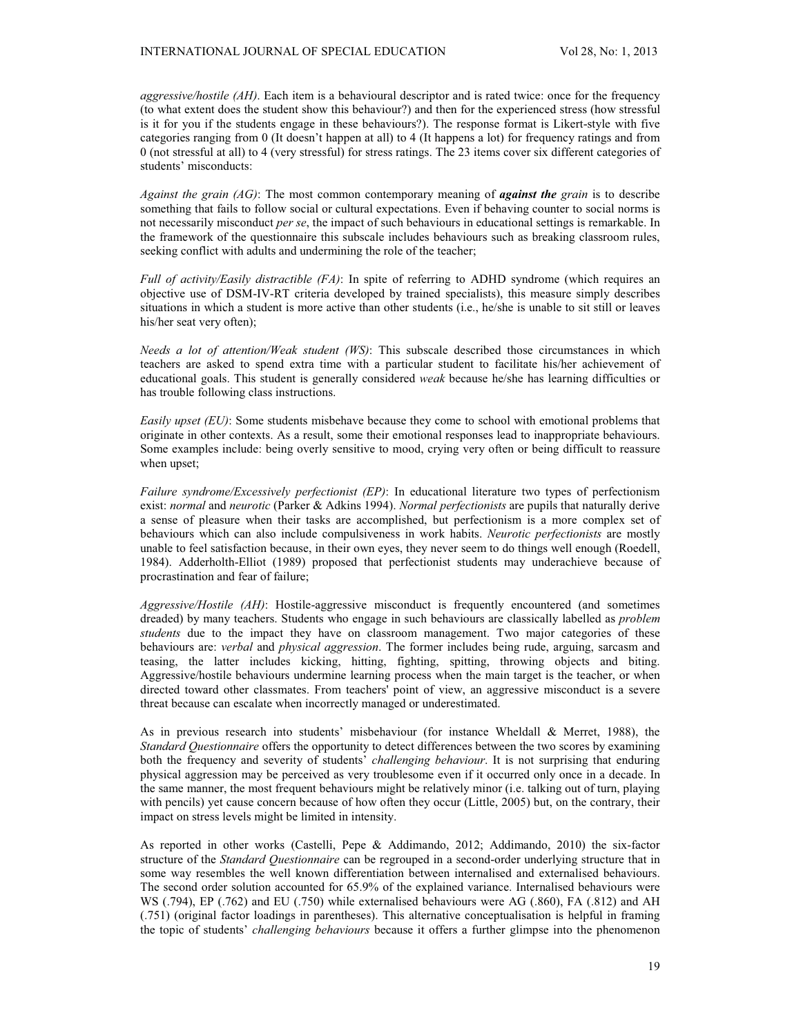*aggressive/hostile (AH)*. Each item is a behavioural descriptor and is rated twice: once for the frequency (to what extent does the student show this behaviour?) and then for the experienced stress (how stressful is it for you if the students engage in these behaviours?). The response format is Likert-style with five categories ranging from 0 (It doesn't happen at all) to 4 (It happens a lot) for frequency ratings and from 0 (not stressful at all) to 4 (very stressful) for stress ratings. The 23 items cover six different categories of students' misconducts:

*Against the grain (AG)*: The most common contemporary meaning of *against the grain* is to describe something that fails to follow social or cultural expectations. Even if behaving counter to social norms is not necessarily misconduct *per se*, the impact of such behaviours in educational settings is remarkable. In the framework of the questionnaire this subscale includes behaviours such as breaking classroom rules, seeking conflict with adults and undermining the role of the teacher;

*Full of activity/Easily distractible (FA)*: In spite of referring to ADHD syndrome (which requires an objective use of DSM-IV-RT criteria developed by trained specialists), this measure simply describes situations in which a student is more active than other students (i.e., he/she is unable to sit still or leaves his/her seat very often);

*Needs a lot of attention/Weak student (WS)*: This subscale described those circumstances in which teachers are asked to spend extra time with a particular student to facilitate his/her achievement of educational goals. This student is generally considered *weak* because he/she has learning difficulties or has trouble following class instructions.

*Easily upset (EU)*: Some students misbehave because they come to school with emotional problems that originate in other contexts. As a result, some their emotional responses lead to inappropriate behaviours. Some examples include: being overly sensitive to mood, crying very often or being difficult to reassure when upset;

*Failure syndrome/Excessively perfectionist (EP)*: In educational literature two types of perfectionism exist: *normal* and *neurotic* (Parker & Adkins 1994). *Normal perfectionists* are pupils that naturally derive a sense of pleasure when their tasks are accomplished, but perfectionism is a more complex set of behaviours which can also include compulsiveness in work habits. *Neurotic perfectionists* are mostly unable to feel satisfaction because, in their own eyes, they never seem to do things well enough (Roedell, 1984). Adderholth-Elliot (1989) proposed that perfectionist students may underachieve because of procrastination and fear of failure;

*Aggressive/Hostile (AH)*: Hostile-aggressive misconduct is frequently encountered (and sometimes dreaded) by many teachers. Students who engage in such behaviours are classically labelled as *problem students* due to the impact they have on classroom management. Two major categories of these behaviours are: *verbal* and *physical aggression*. The former includes being rude, arguing, sarcasm and teasing, the latter includes kicking, hitting, fighting, spitting, throwing objects and biting. Aggressive/hostile behaviours undermine learning process when the main target is the teacher, or when directed toward other classmates. From teachers' point of view, an aggressive misconduct is a severe threat because can escalate when incorrectly managed or underestimated.

As in previous research into students' misbehaviour (for instance Wheldall & Merret, 1988), the *Standard Questionnaire* offers the opportunity to detect differences between the two scores by examining both the frequency and severity of students' *challenging behaviour*. It is not surprising that enduring physical aggression may be perceived as very troublesome even if it occurred only once in a decade. In the same manner, the most frequent behaviours might be relatively minor (i.e. talking out of turn, playing with pencils) yet cause concern because of how often they occur (Little, 2005) but, on the contrary, their impact on stress levels might be limited in intensity.

As reported in other works (Castelli, Pepe & Addimando, 2012; Addimando, 2010) the six-factor structure of the *Standard Questionnaire* can be regrouped in a second-order underlying structure that in some way resembles the well known differentiation between internalised and externalised behaviours. The second order solution accounted for 65.9% of the explained variance. Internalised behaviours were WS (.794), EP (.762) and EU (.750) while externalised behaviours were AG (.860), FA (.812) and AH (.751) (original factor loadings in parentheses). This alternative conceptualisation is helpful in framing the topic of students' *challenging behaviours* because it offers a further glimpse into the phenomenon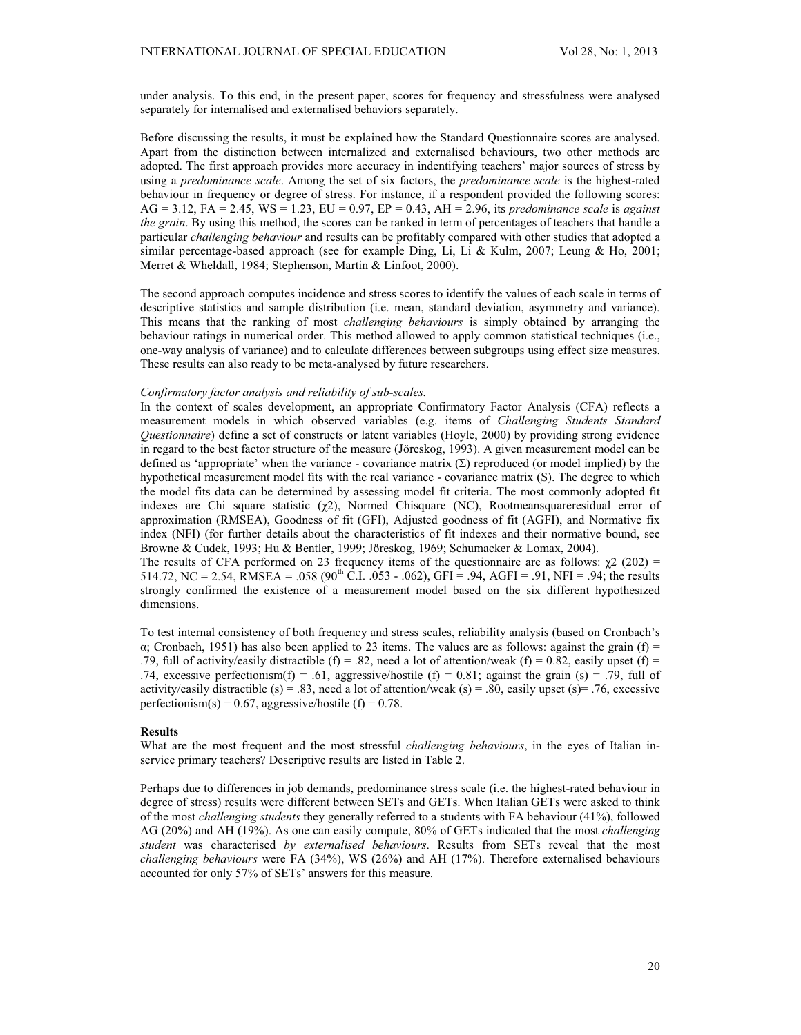under analysis. To this end, in the present paper, scores for frequency and stressfulness were analysed separately for internalised and externalised behaviors separately.

Before discussing the results, it must be explained how the Standard Questionnaire scores are analysed. Apart from the distinction between internalized and externalised behaviours, two other methods are adopted. The first approach provides more accuracy in indentifying teachers' major sources of stress by using a *predominance scale*. Among the set of six factors, the *predominance scale* is the highest-rated behaviour in frequency or degree of stress. For instance, if a respondent provided the following scores: AG = 3.12, FA = 2.45, WS = 1.23, EU = 0.97, EP = 0.43, AH = 2.96, its *predominance scale* is *against the grain*. By using this method, the scores can be ranked in term of percentages of teachers that handle a particular *challenging behaviour* and results can be profitably compared with other studies that adopted a similar percentage-based approach (see for example Ding, Li, Li & Kulm, 2007; Leung & Ho, 2001; Merret & Wheldall, 1984; Stephenson, Martin & Linfoot, 2000).

The second approach computes incidence and stress scores to identify the values of each scale in terms of descriptive statistics and sample distribution (i.e. mean, standard deviation, asymmetry and variance). This means that the ranking of most *challenging behaviours* is simply obtained by arranging the behaviour ratings in numerical order. This method allowed to apply common statistical techniques (i.e., one-way analysis of variance) and to calculate differences between subgroups using effect size measures. These results can also ready to be meta-analysed by future researchers.

### *Confirmatory factor analysis and reliability of sub-scales.*

In the context of scales development, an appropriate Confirmatory Factor Analysis (CFA) reflects a measurement models in which observed variables (e.g. items of *Challenging Students Standard Questionnaire*) define a set of constructs or latent variables (Hoyle, 2000) by providing strong evidence in regard to the best factor structure of the measure (Jöreskog, 1993). A given measurement model can be defined as 'appropriate' when the variance - covariance matrix  $(\Sigma)$  reproduced (or model implied) by the hypothetical measurement model fits with the real variance - covariance matrix (S). The degree to which the model fits data can be determined by assessing model fit criteria. The most commonly adopted fit indexes are Chi square statistic  $(\chi^2)$ , Normed Chisquare (NC), Rootmeansquareresidual error of approximation (RMSEA), Goodness of fit (GFI), Adjusted goodness of fit (AGFI), and Normative fix index (NFI) (for further details about the characteristics of fit indexes and their normative bound, see Browne & Cudek, 1993; Hu & Bentler, 1999; Jöreskog, 1969; Schumacker & Lomax, 2004).

The results of CFA performed on 23 frequency items of the questionnaire are as follows:  $\chi^2$  (202) = 514.72, NC = 2.54, RMSEA = .058 (90<sup>th</sup> C.I. .053 - .062), GFI = .94, AGFI = .91, NFI = .94; the results strongly confirmed the existence of a measurement model based on the six different hypothesized dimensions.

To test internal consistency of both frequency and stress scales, reliability analysis (based on Cronbach's  $\alpha$ ; Cronbach, 1951) has also been applied to 23 items. The values are as follows: against the grain (f) = .79, full of activity/easily distractible (f) = .82, need a lot of attention/weak (f) = 0.82, easily upset (f) = .74, excessive perfectionism(f) = .61, aggressive/hostile (f) = 0.81; against the grain (s) = .79, full of activity/easily distractible (s) = .83, need a lot of attention/weak (s) = .80, easily upset (s)= .76, excessive perfectionism(s) =  $0.67$ , aggressive/hostile (f) =  $0.78$ .

# **Results**

What are the most frequent and the most stressful *challenging behaviours*, in the eyes of Italian inservice primary teachers? Descriptive results are listed in Table 2.

Perhaps due to differences in job demands, predominance stress scale (i.e. the highest-rated behaviour in degree of stress) results were different between SETs and GETs. When Italian GETs were asked to think of the most *challenging students* they generally referred to a students with FA behaviour (41%), followed AG (20%) and AH (19%). As one can easily compute, 80% of GETs indicated that the most *challenging student* was characterised *by externalised behaviours*. Results from SETs reveal that the most *challenging behaviours* were FA (34%), WS (26%) and AH (17%). Therefore externalised behaviours accounted for only 57% of SETs' answers for this measure.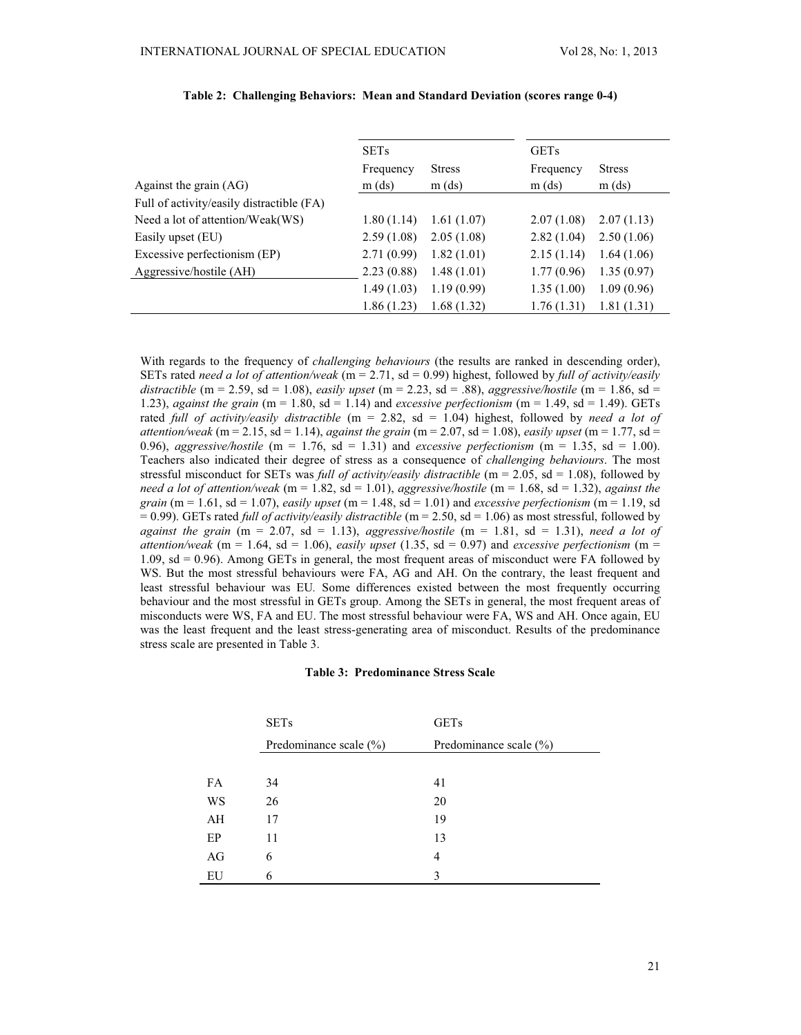|                                           | <b>SETs</b> |               | <b>GETs</b> |               |
|-------------------------------------------|-------------|---------------|-------------|---------------|
|                                           | Frequency   | <b>Stress</b> | Frequency   | <b>Stress</b> |
| Against the grain $(AG)$                  | $m$ (ds)    | $m$ (ds)      | $m$ (ds)    | $m$ (ds)      |
| Full of activity/easily distractible (FA) |             |               |             |               |
| Need a lot of attention/Weak(WS)          | 1.80(1.14)  | 1.61(1.07)    | 2.07(1.08)  | 2.07(1.13)    |
| Easily upset (EU)                         | 2.59(1.08)  | 2.05(1.08)    | 2.82(1.04)  | 2.50(1.06)    |
| Excessive perfectionism (EP)              | 2.71(0.99)  | 1.82(1.01)    | 2.15(1.14)  | 1.64(1.06)    |
| Aggressive/hostile (AH)                   | 2.23(0.88)  | 1.48(1.01)    | 1.77(0.96)  | 1.35(0.97)    |
|                                           | 1.49(1.03)  | 1.19(0.99)    | 1.35(1.00)  | 1.09(0.96)    |
|                                           | 1.86(1.23)  | 1.68(1.32)    | 1.76(1.31)  | 1.81(1.31)    |

# **Table 2: Challenging Behaviors: Mean and Standard Deviation (scores range 0-4)**

With regards to the frequency of *challenging behaviours* (the results are ranked in descending order), SETs rated *need a lot of attention/weak* (m = 2.71, sd = 0.99) highest, followed by *full of activity/easily distractible* (m = 2.59, sd = 1.08), *easily upset* (m = 2.23, sd = .88), *aggressive/hostile* (m = 1.86, sd = 1.23), *against the grain* ( $m = 1.80$ ,  $sd = 1.14$ ) and *excessive perfectionism* ( $m = 1.49$ ,  $sd = 1.49$ ). GETs rated *full of activity/easily distractible* (m = 2.82, sd = 1.04) highest, followed by *need a lot of attention/weak* (m = 2.15, sd = 1.14), *against the grain* (m = 2.07, sd = 1.08), *easily upset* (m = 1.77, sd = 0.96), *aggressive/hostile* (m = 1.76, sd = 1.31) and *excessive perfectionism* (m = 1.35, sd = 1.00). Teachers also indicated their degree of stress as a consequence of *challenging behaviours*. The most stressful misconduct for SETs was *full of activity/easily distractible* (m = 2.05, sd = 1.08), followed by *need a lot of attention/weak* (m = 1.82, sd = 1.01), *aggressive/hostile* (m = 1.68, sd = 1.32), *against the grain* (m = 1.61, sd = 1.07), *easily upset* (m = 1.48, sd = 1.01) and *excessive perfectionism* (m = 1.19, sd  $= 0.99$ ). GETs rated *full of activity/easily distractible* (m = 2.50, sd = 1.06) as most stressful, followed by *against the grain* ( $m = 2.07$ ,  $sd = 1.13$ ), *aggressive/hostile* ( $m = 1.81$ ,  $sd = 1.31$ ), *need a lot of attention/weak* (m = 1.64, sd = 1.06), *easily upset* (1.35, sd = 0.97) and *excessive perfectionism* (m = 1.09, sd = 0.96). Among GETs in general, the most frequent areas of misconduct were FA followed by WS. But the most stressful behaviours were FA, AG and AH. On the contrary, the least frequent and least stressful behaviour was EU*.* Some differences existed between the most frequently occurring behaviour and the most stressful in GETs group. Among the SETs in general, the most frequent areas of misconducts were WS, FA and EU. The most stressful behaviour were FA, WS and AH. Once again, EU was the least frequent and the least stress-generating area of misconduct. Results of the predominance stress scale are presented in Table 3.

#### **Table 3: Predominance Stress Scale**

|    | <b>SETs</b>                | <b>GETs</b><br>Predominance scale $(\% )$ |  |  |  |
|----|----------------------------|-------------------------------------------|--|--|--|
|    | Predominance scale $(\% )$ |                                           |  |  |  |
|    |                            |                                           |  |  |  |
| FA | 34                         | 41                                        |  |  |  |
| WS | 26                         | 20                                        |  |  |  |
| AH | 17                         | 19                                        |  |  |  |
| EP | 11                         | 13                                        |  |  |  |
| AG | 6                          | 4                                         |  |  |  |
| EU | 6                          | 3                                         |  |  |  |
|    |                            |                                           |  |  |  |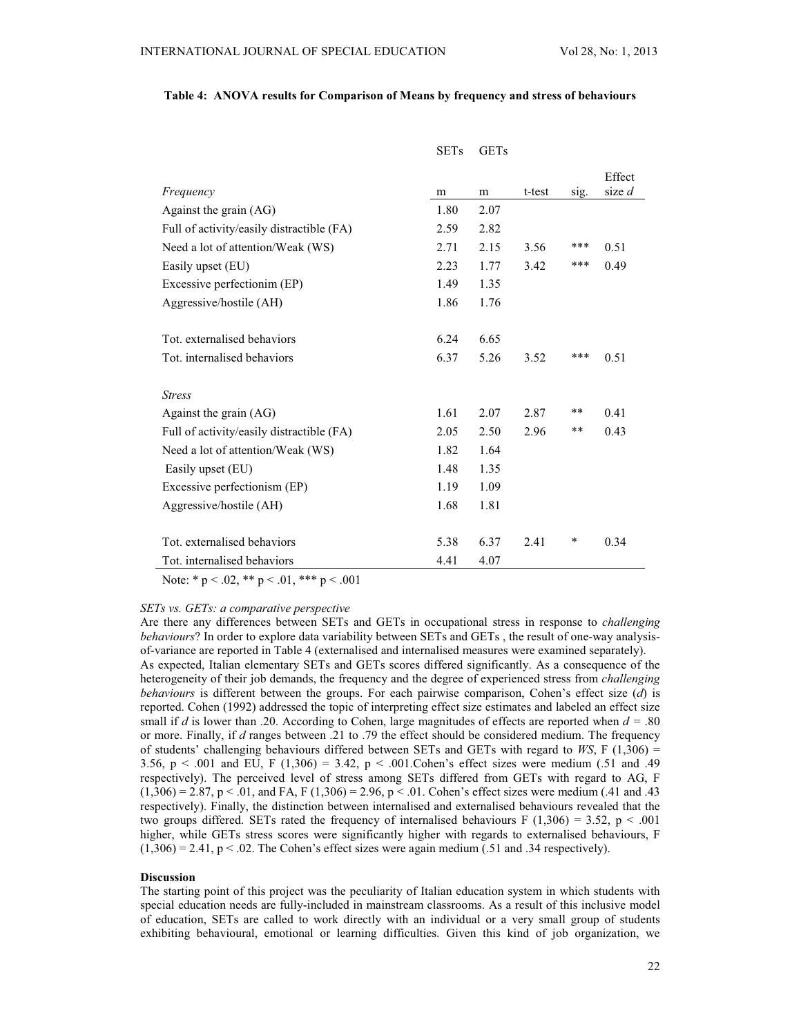|                                           | <b>SETs</b> | <b>GETs</b> |        |      |          |
|-------------------------------------------|-------------|-------------|--------|------|----------|
|                                           |             |             |        |      | Effect   |
| Frequency                                 | m           | m           | t-test | sig. | size $d$ |
| Against the grain (AG)                    | 1.80        | 2.07        |        |      |          |
| Full of activity/easily distractible (FA) | 2.59        | 2.82        |        |      |          |
| Need a lot of attention/Weak (WS)         | 2.71        | 2.15        | 3.56   | ***  | 0.51     |
| Easily upset (EU)                         | 2.23        | 1.77        | 3.42   | ***  | 0.49     |
| Excessive perfectionim (EP)               | 1.49        | 1.35        |        |      |          |
| Aggressive/hostile (AH)                   | 1.86        | 1.76        |        |      |          |
|                                           |             |             |        |      |          |
| Tot, externalised behaviors               | 6.24        | 6.65        |        |      |          |
| Tot. internalised behaviors               | 6.37        | 5.26        | 3.52   | ***  | 0.51     |
|                                           |             |             |        |      |          |
| <b>Stress</b>                             |             |             |        |      |          |
| Against the grain $(AG)$                  | 1.61        | 2.07        | 2.87   | **   | 0.41     |
| Full of activity/easily distractible (FA) | 2.05        | 2.50        | 2.96   | **   | 0.43     |
| Need a lot of attention/Weak (WS)         | 1.82        | 1.64        |        |      |          |
| Easily upset (EU)                         | 1.48        | 1.35        |        |      |          |
| Excessive perfectionism (EP)              | 1.19        | 1.09        |        |      |          |
| Aggressive/hostile (AH)                   | 1.68        | 1.81        |        |      |          |
|                                           |             |             |        |      |          |
| Tot. externalised behaviors               | 5.38        | 6.37        | 2.41   | ∗    | 0.34     |
| Tot. internalised behaviors               | 4.41        | 4.07        |        |      |          |

# **Table 4: ANOVA results for Comparison of Means by frequency and stress of behaviours**

Note: \* p < .02, \*\* p < .01, \*\*\* p < .001

### *SETs vs. GETs: a comparative perspective*

Are there any differences between SETs and GETs in occupational stress in response to *challenging behaviours*? In order to explore data variability between SETs and GETs , the result of one-way analysisof-variance are reported in Table 4 (externalised and internalised measures were examined separately). As expected, Italian elementary SETs and GETs scores differed significantly. As a consequence of the heterogeneity of their job demands, the frequency and the degree of experienced stress from *challenging behaviours* is different between the groups. For each pairwise comparison, Cohen's effect size (*d*) is reported. Cohen (1992) addressed the topic of interpreting effect size estimates and labeled an effect size small if *d* is lower than .20. According to Cohen, large magnitudes of effects are reported when  $d = 0.80$ or more. Finally, if *d* ranges between .21 to .79 the effect should be considered medium. The frequency of students' challenging behaviours differed between SETs and GETs with regard to *WS*, F (1,306) = 3.56,  $p < .001$  and EU, F (1,306) = 3.42,  $p < .001$ . Cohen's effect sizes were medium (.51 and .49 respectively). The perceived level of stress among SETs differed from GETs with regard to AG, F  $(1,306) = 2.87$ , p < .01, and FA, F (1,306) = 2.96, p < .01. Cohen's effect sizes were medium (.41 and .43 respectively). Finally, the distinction between internalised and externalised behaviours revealed that the two groups differed. SETs rated the frequency of internalised behaviours F (1,306) = 3.52, p < .001 higher, while GETs stress scores were significantly higher with regards to externalised behaviours, F  $(1,306) = 2.41$ ,  $p < .02$ . The Cohen's effect sizes were again medium (.51 and .34 respectively).

# **Discussion**

The starting point of this project was the peculiarity of Italian education system in which students with special education needs are fully-included in mainstream classrooms. As a result of this inclusive model of education, SETs are called to work directly with an individual or a very small group of students exhibiting behavioural, emotional or learning difficulties. Given this kind of job organization, we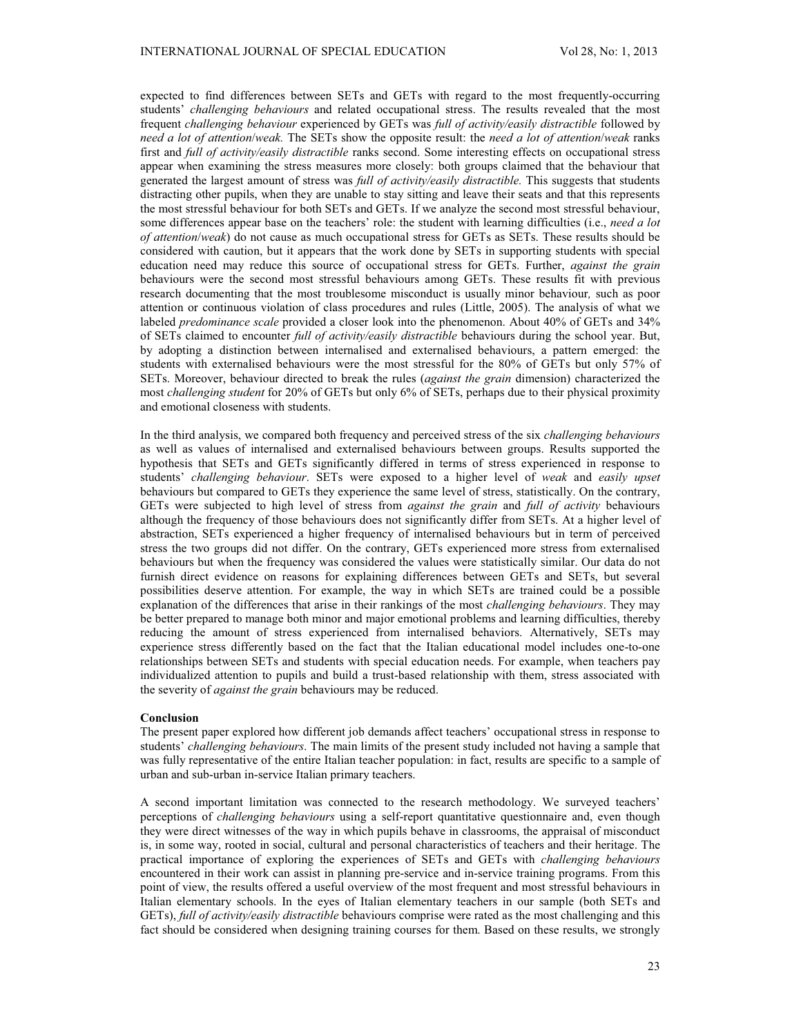expected to find differences between SETs and GETs with regard to the most frequently-occurring students' *challenging behaviours* and related occupational stress. The results revealed that the most frequent *challenging behaviour* experienced by GETs was *full of activity/easily distractible* followed by *need a lot of attention*/*weak.* The SETs show the opposite result: the *need a lot of attention*/*weak* ranks first and *full of activity/easily distractible* ranks second. Some interesting effects on occupational stress appear when examining the stress measures more closely: both groups claimed that the behaviour that generated the largest amount of stress was *full of activity/easily distractible.* This suggests that students distracting other pupils, when they are unable to stay sitting and leave their seats and that this represents the most stressful behaviour for both SETs and GETs. If we analyze the second most stressful behaviour, some differences appear base on the teachers' role: the student with learning difficulties (i.e., *need a lot of attention*/*weak*) do not cause as much occupational stress for GETs as SETs. These results should be considered with caution, but it appears that the work done by SETs in supporting students with special education need may reduce this source of occupational stress for GETs. Further, *against the grain* behaviours were the second most stressful behaviours among GETs. These results fit with previous research documenting that the most troublesome misconduct is usually minor behaviour*,* such as poor attention or continuous violation of class procedures and rules (Little, 2005). The analysis of what we labeled *predominance scale* provided a closer look into the phenomenon. About 40% of GETs and 34% of SETs claimed to encounter *full of activity/easily distractible* behaviours during the school year. But, by adopting a distinction between internalised and externalised behaviours, a pattern emerged: the students with externalised behaviours were the most stressful for the 80% of GETs but only 57% of SETs. Moreover, behaviour directed to break the rules (*against the grain* dimension) characterized the most *challenging student* for 20% of GETs but only 6% of SETs, perhaps due to their physical proximity and emotional closeness with students.

In the third analysis, we compared both frequency and perceived stress of the six *challenging behaviours* as well as values of internalised and externalised behaviours between groups. Results supported the hypothesis that SETs and GETs significantly differed in terms of stress experienced in response to students' *challenging behaviour*. SETs were exposed to a higher level of *weak* and *easily upset* behaviours but compared to GETs they experience the same level of stress, statistically. On the contrary, GETs were subjected to high level of stress from *against the grain* and *full of activity* behaviours although the frequency of those behaviours does not significantly differ from SETs. At a higher level of abstraction, SETs experienced a higher frequency of internalised behaviours but in term of perceived stress the two groups did not differ. On the contrary, GETs experienced more stress from externalised behaviours but when the frequency was considered the values were statistically similar. Our data do not furnish direct evidence on reasons for explaining differences between GETs and SETs, but several possibilities deserve attention. For example, the way in which SETs are trained could be a possible explanation of the differences that arise in their rankings of the most *challenging behaviours*. They may be better prepared to manage both minor and major emotional problems and learning difficulties, thereby reducing the amount of stress experienced from internalised behaviors. Alternatively, SETs may experience stress differently based on the fact that the Italian educational model includes one-to-one relationships between SETs and students with special education needs. For example, when teachers pay individualized attention to pupils and build a trust-based relationship with them, stress associated with the severity of *against the grain* behaviours may be reduced.

# **Conclusion**

The present paper explored how different job demands affect teachers' occupational stress in response to students' *challenging behaviours*. The main limits of the present study included not having a sample that was fully representative of the entire Italian teacher population: in fact, results are specific to a sample of urban and sub-urban in-service Italian primary teachers.

A second important limitation was connected to the research methodology. We surveyed teachers' perceptions of *challenging behaviours* using a self-report quantitative questionnaire and, even though they were direct witnesses of the way in which pupils behave in classrooms, the appraisal of misconduct is, in some way, rooted in social, cultural and personal characteristics of teachers and their heritage. The practical importance of exploring the experiences of SETs and GETs with *challenging behaviours* encountered in their work can assist in planning pre-service and in-service training programs. From this point of view, the results offered a useful overview of the most frequent and most stressful behaviours in Italian elementary schools. In the eyes of Italian elementary teachers in our sample (both SETs and GETs), *full of activity/easily distractible* behaviours comprise were rated as the most challenging and this fact should be considered when designing training courses for them. Based on these results, we strongly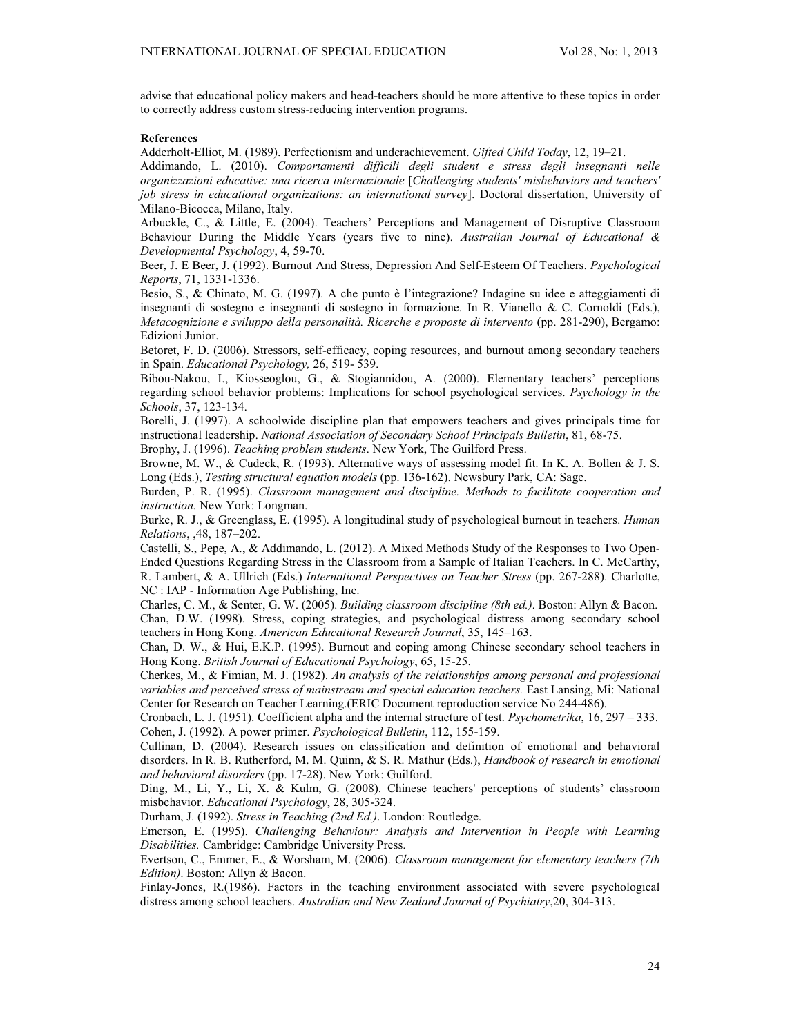advise that educational policy makers and head-teachers should be more attentive to these topics in order to correctly address custom stress-reducing intervention programs.

#### **References**

Adderholt-Elliot, M. (1989). Perfectionism and underachievement. *Gifted Child Today*, 12, 19–21.

Addimando, L. (2010). *Comportamenti difficili degli student e stress degli insegnanti nelle organizzazioni educative: una ricerca internazionale* [*Challenging students' misbehaviors and teachers' job stress in educational organizations: an international survey*]. Doctoral dissertation, University of Milano-Bicocca, Milano, Italy.

Arbuckle, C., & Little, E. (2004). Teachers' Perceptions and Management of Disruptive Classroom Behaviour During the Middle Years (years five to nine). *Australian Journal of Educational & Developmental Psychology*, 4, 59-70.

Beer, J. E Beer, J. (1992). Burnout And Stress, Depression And Self-Esteem Of Teachers. *Psychological Reports*, 71, 1331-1336.

Besio, S., & Chinato, M. G. (1997). A che punto è l'integrazione? Indagine su idee e atteggiamenti di insegnanti di sostegno e insegnanti di sostegno in formazione. In R. Vianello & C. Cornoldi (Eds.), *Metacognizione e sviluppo della personalità. Ricerche e proposte di intervento* (pp. 281-290), Bergamo: Edizioni Junior.

Betoret, F. D. (2006). Stressors, self-efficacy, coping resources, and burnout among secondary teachers in Spain. *Educational Psychology,* 26, 519- 539.

Bibou-Nakou, I., Kiosseoglou, G., & Stogiannidou, A. (2000). Elementary teachers' perceptions regarding school behavior problems: Implications for school psychological services. *Psychology in the Schools*, 37, 123-134.

Borelli, J. (1997). A schoolwide discipline plan that empowers teachers and gives principals time for instructional leadership. *National Association of Secondary School Principals Bulletin*, 81, 68-75.

Brophy, J. (1996). *Teaching problem students*. New York, The Guilford Press.

Browne, M. W., & Cudeck, R. (1993). Alternative ways of assessing model fit. In K. A. Bollen & J. S. Long (Eds.), *Testing structural equation models* (pp. 136-162). Newsbury Park, CA: Sage.

Burden, P. R. (1995). *Classroom management and discipline. Methods to facilitate cooperation and instruction.* New York: Longman.

Burke, R. J., & Greenglass, E. (1995). A longitudinal study of psychological burnout in teachers. *Human Relations*, ,48, 187–202.

Castelli, S., Pepe, A., & Addimando, L. (2012). A Mixed Methods Study of the Responses to Two Open-Ended Questions Regarding Stress in the Classroom from a Sample of Italian Teachers. In C. McCarthy, R. Lambert, & A. Ullrich (Eds.) *International Perspectives on Teacher Stress* (pp. 267-288). Charlotte, NC : IAP - Information Age Publishing, Inc.

Charles, C. M., & Senter, G. W. (2005). *Building classroom discipline (8th ed.)*. Boston: Allyn & Bacon. Chan, D.W. (1998). Stress, coping strategies, and psychological distress among secondary school teachers in Hong Kong. *American Educational Research Journal*, 35, 145–163.

Chan, D. W., & Hui, E.K.P. (1995). Burnout and coping among Chinese secondary school teachers in Hong Kong. *British Journal of Educational Psychology*, 65, 15-25.

Cherkes, M., & Fimian, M. J. (1982). *An analysis of the relationships among personal and professional variables and perceived stress of mainstream and special education teachers.* East Lansing, Mi: National Center for Research on Teacher Learning.(ERIC Document reproduction service No 244-486).

Cronbach, L. J. (1951). Coefficient alpha and the internal structure of test. *Psychometrika*, 16, 297 – 333. Cohen, J. (1992). A power primer. *Psychological Bulletin*, 112, 155-159.

Cullinan, D. (2004). Research issues on classification and definition of emotional and behavioral disorders. In R. B. Rutherford, M. M. Quinn, & S. R. Mathur (Eds.), *Handbook of research in emotional and behavioral disorders* (pp. 17-28). New York: Guilford.

Ding, M., Li, Y., Li, X. & Kulm, G. (2008). Chinese teachers' perceptions of students' classroom misbehavior. *Educational Psychology*, 28, 305-324.

Durham, J. (1992). *Stress in Teaching (2nd Ed.)*. London: Routledge.

Emerson, E. (1995). *Challenging Behaviour: Analysis and Intervention in People with Learning Disabilities.* Cambridge: Cambridge University Press.

Evertson, C., Emmer, E., & Worsham, M. (2006). *Classroom management for elementary teachers (7th Edition)*. Boston: Allyn & Bacon.

Finlay-Jones, R.(1986). Factors in the teaching environment associated with severe psychological distress among school teachers. *Australian and New Zealand Journal of Psychiatry*,20, 304-313.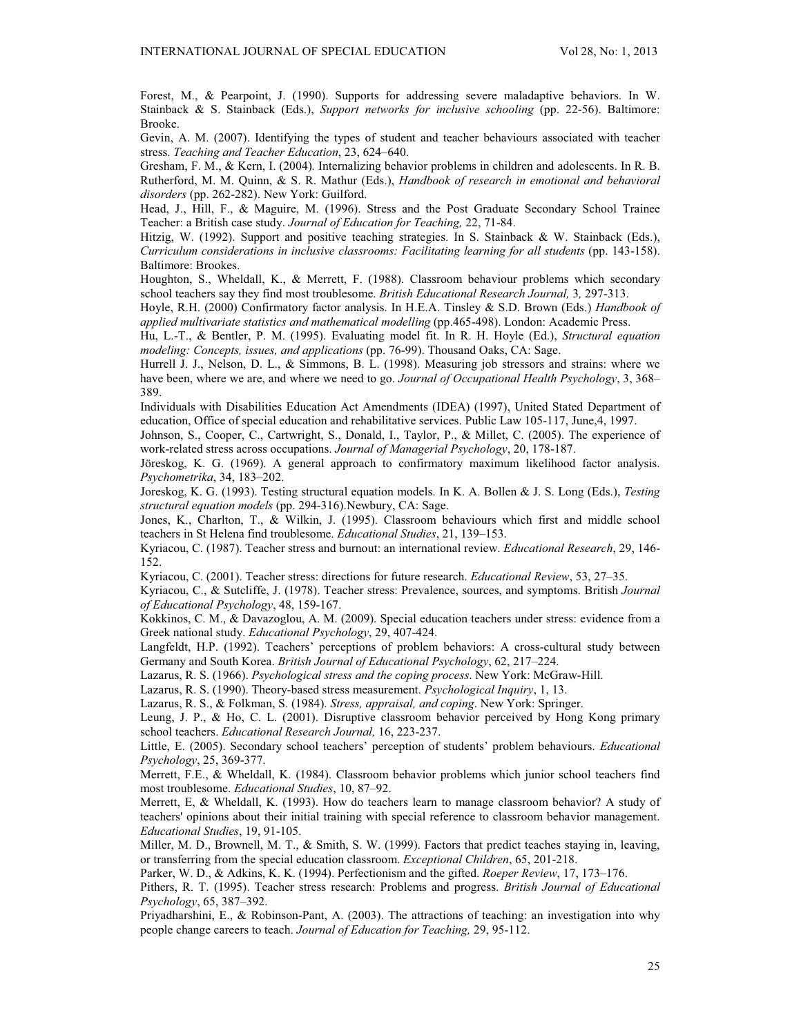Forest, M., & Pearpoint, J. (1990). Supports for addressing severe maladaptive behaviors. In W. Stainback & S. Stainback (Eds.), *Support networks for inclusive schooling* (pp. 22-56). Baltimore: Brooke.

Gevin, A. M. (2007). Identifying the types of student and teacher behaviours associated with teacher stress. *Teaching and Teacher Education*, 23, 624–640.

Gresham, F. M., & Kern, I. (2004)*.* Internalizing behavior problems in children and adolescents. In R. B. Rutherford, M. M. Quinn, & S. R. Mathur (Eds.), *Handbook of research in emotional and behavioral disorders* (pp. 262-282). New York: Guilford.

Head, J., Hill, F., & Maguire, M. (1996). Stress and the Post Graduate Secondary School Trainee Teacher: a British case study. *Journal of Education for Teaching,* 22, 71-84.

Hitzig, W. (1992). Support and positive teaching strategies. In S. Stainback & W. Stainback (Eds.), *Curriculum considerations in inclusive classrooms: Facilitating learning for all students* (pp. 143-158). Baltimore: Brookes.

Houghton, S., Wheldall, K., & Merrett, F. (1988). Classroom behaviour problems which secondary school teachers say they find most troublesome. *British Educational Research Journal,* 3*,* 297-313.

Hoyle, R.H. (2000) Confirmatory factor analysis. In H.E.A. Tinsley & S.D. Brown (Eds.) *Handbook of applied multivariate statistics and mathematical modelling* (pp.465-498). London: Academic Press.

Hu, L.-T., & Bentler, P. M. (1995). Evaluating model fit. In R. H. Hoyle (Ed.), *Structural equation modeling: Concepts, issues, and applications* (pp. 76-99). Thousand Oaks, CA: Sage.

Hurrell J. J., Nelson, D. L., & Simmons, B. L. (1998). Measuring job stressors and strains: where we have been, where we are, and where we need to go. *Journal of Occupational Health Psychology*, 3, 368– 389.

Individuals with Disabilities Education Act Amendments (IDEA) (1997), United Stated Department of education, Office of special education and rehabilitative services. Public Law 105-117, June,4, 1997.

Johnson, S., Cooper, C., Cartwright, S., Donald, I., Taylor, P., & Millet, C. (2005). The experience of work-related stress across occupations. *Journal of Managerial Psychology*, 20, 178-187.

Jöreskog, K. G. (1969). A general approach to confirmatory maximum likelihood factor analysis. *Psychometrika*, 34, 183–202.

Joreskog, K. G. (1993). Testing structural equation models. In K. A. Bollen & J. S. Long (Eds.), *Testing structural equation models* (pp. 294-316).Newbury, CA: Sage.

Jones, K., Charlton, T., & Wilkin, J. (1995). Classroom behaviours which first and middle school teachers in St Helena find troublesome. *Educational Studies*, 21, 139–153.

Kyriacou, C. (1987). Teacher stress and burnout: an international review. *Educational Research*, 29, 146- 152.

Kyriacou, C. (2001). Teacher stress: directions for future research. *Educational Review*, 53, 27–35.

Kyriacou, C., & Sutcliffe, J. (1978). Teacher stress: Prevalence, sources, and symptoms. British *Journal of Educational Psychology*, 48, 159-167.

Kokkinos, C. M., & Davazoglou, A. M. (2009). Special education teachers under stress: evidence from a Greek national study. *Educational Psychology*, 29, 407-424.

Langfeldt, H.P. (1992). Teachers' perceptions of problem behaviors: A cross-cultural study between Germany and South Korea. *British Journal of Educational Psychology*, 62, 217–224.

Lazarus, R. S. (1966). *Psychological stress and the coping process*. New York: McGraw-Hill.

Lazarus, R. S. (1990). Theory-based stress measurement. *Psychological Inquiry*, 1, 13.

Lazarus, R. S., & Folkman, S. (1984). *Stress, appraisal, and coping*. New York: Springer.

Leung, J. P., & Ho, C. L. (2001). Disruptive classroom behavior perceived by Hong Kong primary school teachers. *Educational Research Journal,* 16, 223-237.

Little, E. (2005). Secondary school teachers' perception of students' problem behaviours. *Educational Psychology*, 25, 369-377.

Merrett, F.E., & Wheldall, K. (1984). Classroom behavior problems which junior school teachers find most troublesome. *Educational Studies*, 10, 87–92.

Merrett, E, & Wheldall, K. (1993). How do teachers learn to manage classroom behavior? A study of teachers' opinions about their initial training with special reference to classroom behavior management. *Educational Studies*, 19, 91-105.

Miller, M. D., Brownell, M. T., & Smith, S. W. (1999). Factors that predict teaches staying in, leaving, or transferring from the special education classroom. *Exceptional Children*, 65, 201-218.

Parker, W. D., & Adkins, K. K. (1994). Perfectionism and the gifted. *Roeper Review*, 17, 173–176.

Pithers, R. T. (1995). Teacher stress research: Problems and progress. *British Journal of Educational Psychology*, 65, 387–392.

Priyadharshini, E., & Robinson-Pant, A. (2003). The attractions of teaching: an investigation into why people change careers to teach. *Journal of Education for Teaching,* 29, 95-112.